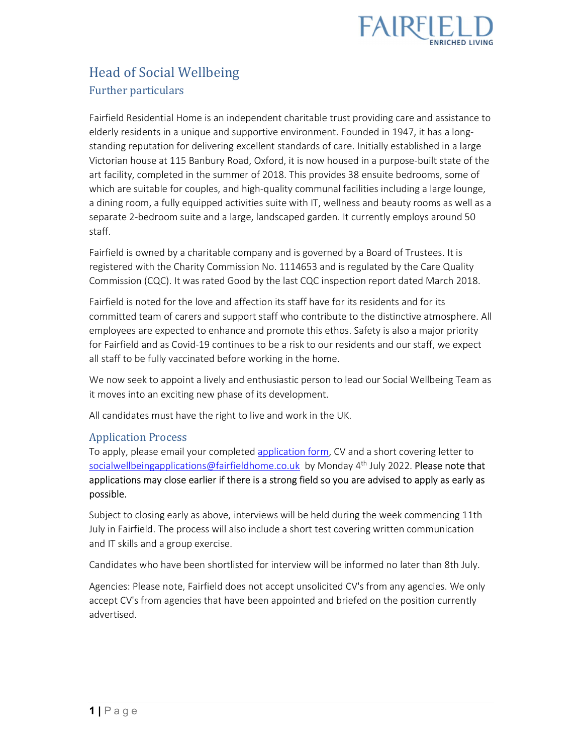

# Head of Social Wellbeing Further particulars

Fairfield Residential Home is an independent charitable trust providing care and assistance to elderly residents in a unique and supportive environment. Founded in 1947, it has a longstanding reputation for delivering excellent standards of care. Initially established in a large Victorian house at 115 Banbury Road, Oxford, it is now housed in a purpose-built state of the art facility, completed in the summer of 2018. This provides 38 ensuite bedrooms, some of which are suitable for couples, and high-quality communal facilities including a large lounge, a dining room, a fully equipped activities suite with IT, wellness and beauty rooms as well as a separate 2-bedroom suite and a large, landscaped garden. It currently employs around 50 staff.

Fairfield is owned by a charitable company and is governed by a Board of Trustees. It is registered with the Charity Commission No. 1114653 and is regulated by the Care Quality Commission (CQC). It was rated Good by the last CQC inspection report dated March 2018.

Fairfield is noted for the love and affection its staff have for its residents and for its committed team of carers and support staff who contribute to the distinctive atmosphere. All employees are expected to enhance and promote this ethos. Safety is also a major priority for Fairfield and as Covid-19 continues to be a risk to our residents and our staff, we expect all staff to be fully vaccinated before working in the home.

We now seek to appoint a lively and enthusiastic person to lead our Social Wellbeing Team as it moves into an exciting new phase of its development.

All candidates must have the right to live and work in the UK.

#### Application Process

To apply, please email your completed application form, CV and a short covering letter to socialwellbeingapplications@fairfieldhome.co.uk by Monday 4<sup>th</sup> July 2022. Please note that applications may close earlier if there is a strong field so you are advised to apply as early as possible.

Subject to closing early as above, interviews will be held during the week commencing 11th July in Fairfield. The process will also include a short test covering written communication and IT skills and a group exercise.

Candidates who have been shortlisted for interview will be informed no later than 8th July.

Agencies: Please note, Fairfield does not accept unsolicited CV's from any agencies. We only accept CV's from agencies that have been appointed and briefed on the position currently advertised.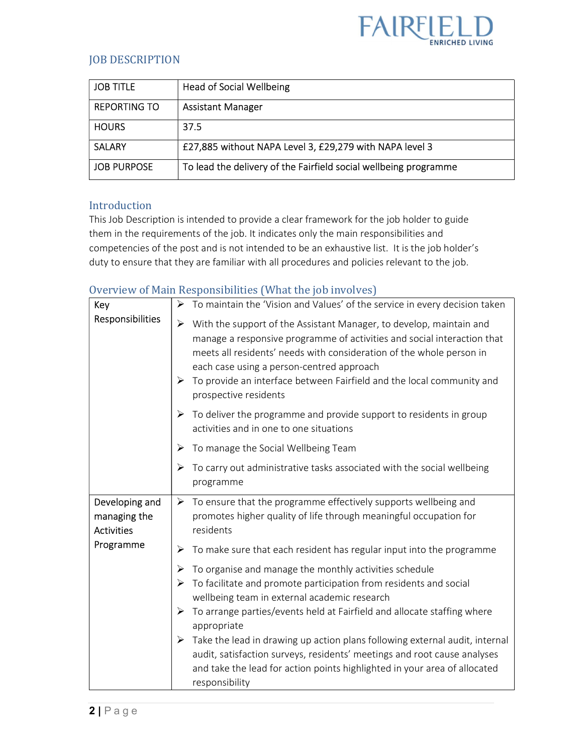

## JOB DESCRIPTION

| <b>JOB TITLE</b>    | <b>Head of Social Wellbeing</b>                                  |
|---------------------|------------------------------------------------------------------|
| <b>REPORTING TO</b> | <b>Assistant Manager</b>                                         |
| <b>HOURS</b>        | 37.5                                                             |
| <b>SALARY</b>       | £27,885 without NAPA Level 3, £29,279 with NAPA level 3          |
| <b>JOB PURPOSE</b>  | To lead the delivery of the Fairfield social wellbeing programme |

### Introduction

This Job Description is intended to provide a clear framework for the job holder to guide them in the requirements of the job. It indicates only the main responsibilities and competencies of the post and is not intended to be an exhaustive list. It is the job holder's duty to ensure that they are familiar with all procedures and policies relevant to the job.

## Overview of Main Responsibilities (What the job involves)

| Key                                                 | To maintain the 'Vision and Values' of the service in every decision taken<br>➤                                                                                                                                                                                                                                                                                                                                                                                                                                                                     |
|-----------------------------------------------------|-----------------------------------------------------------------------------------------------------------------------------------------------------------------------------------------------------------------------------------------------------------------------------------------------------------------------------------------------------------------------------------------------------------------------------------------------------------------------------------------------------------------------------------------------------|
| Responsibilities                                    | With the support of the Assistant Manager, to develop, maintain and<br>➤<br>manage a responsive programme of activities and social interaction that<br>meets all residents' needs with consideration of the whole person in<br>each case using a person-centred approach<br>To provide an interface between Fairfield and the local community and<br>➤<br>prospective residents                                                                                                                                                                     |
|                                                     | To deliver the programme and provide support to residents in group<br>➤<br>activities and in one to one situations                                                                                                                                                                                                                                                                                                                                                                                                                                  |
|                                                     | To manage the Social Wellbeing Team<br>➤                                                                                                                                                                                                                                                                                                                                                                                                                                                                                                            |
|                                                     | To carry out administrative tasks associated with the social wellbeing<br>➤<br>programme                                                                                                                                                                                                                                                                                                                                                                                                                                                            |
| Developing and<br>managing the<br><b>Activities</b> | $\triangleright$ To ensure that the programme effectively supports wellbeing and<br>promotes higher quality of life through meaningful occupation for<br>residents                                                                                                                                                                                                                                                                                                                                                                                  |
| Programme                                           | To make sure that each resident has regular input into the programme<br>➤                                                                                                                                                                                                                                                                                                                                                                                                                                                                           |
|                                                     | To organise and manage the monthly activities schedule<br>➤<br>To facilitate and promote participation from residents and social<br>➤<br>wellbeing team in external academic research<br>To arrange parties/events held at Fairfield and allocate staffing where<br>➤<br>appropriate<br>Take the lead in drawing up action plans following external audit, internal<br>➤<br>audit, satisfaction surveys, residents' meetings and root cause analyses<br>and take the lead for action points highlighted in your area of allocated<br>responsibility |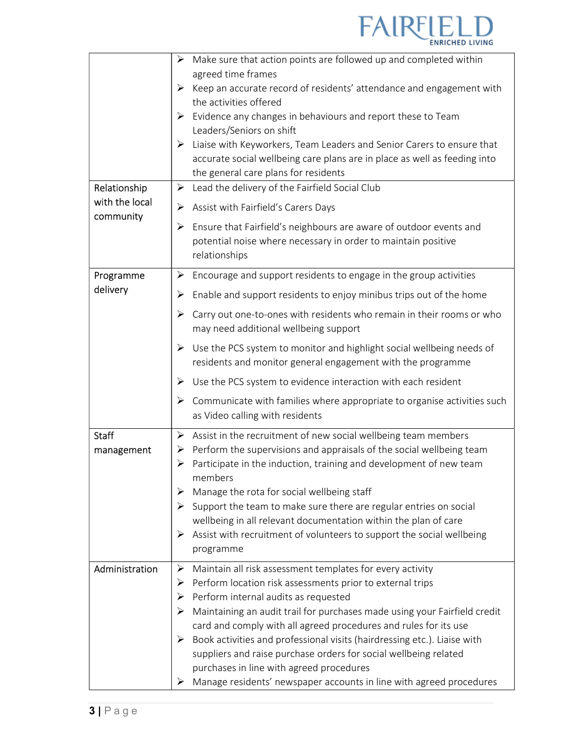

|                             | Make sure that action points are followed up and completed within<br>$\blacktriangleright$                                                                |
|-----------------------------|-----------------------------------------------------------------------------------------------------------------------------------------------------------|
|                             | agreed time frames                                                                                                                                        |
|                             | Keep an accurate record of residents' attendance and engagement with<br>➤<br>the activities offered                                                       |
|                             | Evidence any changes in behaviours and report these to Team<br>➤                                                                                          |
|                             | Leaders/Seniors on shift                                                                                                                                  |
|                             | $\triangleright$ Liaise with Keyworkers, Team Leaders and Senior Carers to ensure that                                                                    |
|                             | accurate social wellbeing care plans are in place as well as feeding into                                                                                 |
|                             | the general care plans for residents                                                                                                                      |
| Relationship                | Lead the delivery of the Fairfield Social Club<br>➤                                                                                                       |
| with the local<br>community | Assist with Fairfield's Carers Days<br>➤                                                                                                                  |
|                             | Ensure that Fairfield's neighbours are aware of outdoor events and<br>➤<br>potential noise where necessary in order to maintain positive<br>relationships |
| Programme                   | Encourage and support residents to engage in the group activities<br>➤                                                                                    |
| delivery                    | Enable and support residents to enjoy minibus trips out of the home<br>➤                                                                                  |
|                             | Carry out one-to-ones with residents who remain in their rooms or who<br>➤<br>may need additional wellbeing support                                       |
|                             | Use the PCS system to monitor and highlight social wellbeing needs of<br>➤<br>residents and monitor general engagement with the programme                 |
|                             | Use the PCS system to evidence interaction with each resident<br>➤                                                                                        |
|                             | Communicate with families where appropriate to organise activities such<br>➤<br>as Video calling with residents                                           |
| <b>Staff</b>                | Assist in the recruitment of new social wellbeing team members<br>➤                                                                                       |
| management                  | $\triangleright$ Perform the supervisions and appraisals of the social wellbeing team                                                                     |
|                             | Participate in the induction, training and development of new team<br>➤                                                                                   |
|                             | members                                                                                                                                                   |
|                             | Manage the rota for social wellbeing staff<br>➤                                                                                                           |
|                             | Support the team to make sure there are regular entries on social<br>➤<br>wellbeing in all relevant documentation within the plan of care                 |
|                             | Assist with recruitment of volunteers to support the social wellbeing<br>➤                                                                                |
|                             | programme                                                                                                                                                 |
| Administration              | Maintain all risk assessment templates for every activity<br>➤                                                                                            |
|                             | Perform location risk assessments prior to external trips<br>➤                                                                                            |
|                             | Perform internal audits as requested<br>➤                                                                                                                 |
|                             | Maintaining an audit trail for purchases made using your Fairfield credit<br>⋗                                                                            |
|                             | card and comply with all agreed procedures and rules for its use                                                                                          |
|                             | Book activities and professional visits (hairdressing etc.). Liaise with<br>➤                                                                             |
|                             | suppliers and raise purchase orders for social wellbeing related                                                                                          |
|                             | purchases in line with agreed procedures                                                                                                                  |
|                             | Manage residents' newspaper accounts in line with agreed procedures<br>➤                                                                                  |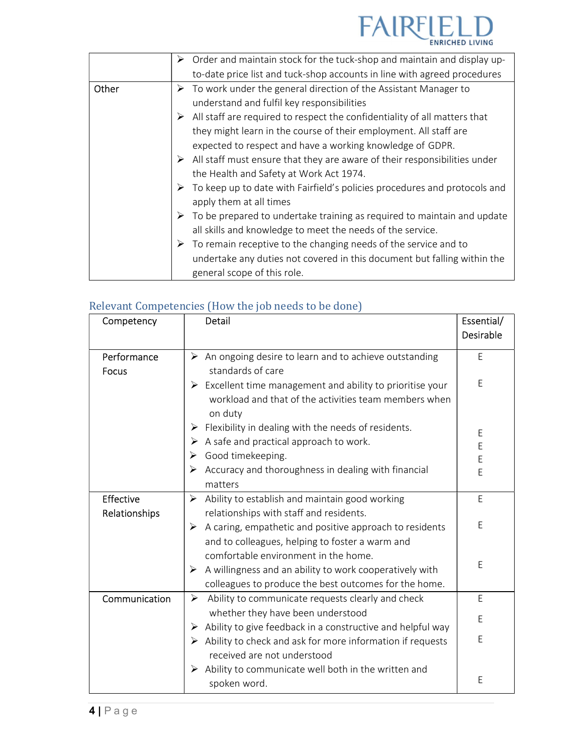

|       | $\triangleright$ Order and maintain stock for the tuck-shop and maintain and display up-   |
|-------|--------------------------------------------------------------------------------------------|
|       | to-date price list and tuck-shop accounts in line with agreed procedures                   |
| Other | $\triangleright$ To work under the general direction of the Assistant Manager to           |
|       | understand and fulfil key responsibilities                                                 |
|       | $\triangleright$ All staff are required to respect the confidentiality of all matters that |
|       | they might learn in the course of their employment. All staff are                          |
|       | expected to respect and have a working knowledge of GDPR.                                  |
|       | $\triangleright$ All staff must ensure that they are aware of their responsibilities under |
|       | the Health and Safety at Work Act 1974.                                                    |
|       | To keep up to date with Fairfield's policies procedures and protocols and<br>➤             |
|       | apply them at all times                                                                    |
|       | $\triangleright$ To be prepared to undertake training as required to maintain and update   |
|       | all skills and knowledge to meet the needs of the service.                                 |
|       | $\triangleright$ To remain receptive to the changing needs of the service and to           |
|       | undertake any duties not covered in this document but falling within the                   |
|       | general scope of this role.                                                                |

## Relevant Competencies (How the job needs to be done)

| Competency           | Detail                                                                                                                                        | Essential/<br>Desirable |
|----------------------|-----------------------------------------------------------------------------------------------------------------------------------------------|-------------------------|
| Performance<br>Focus | $\triangleright$ An ongoing desire to learn and to achieve outstanding<br>standards of care                                                   | E                       |
|                      | $\triangleright$ Excellent time management and ability to prioritise your<br>workload and that of the activities team members when<br>on duty | F                       |
|                      | $\triangleright$ Flexibility in dealing with the needs of residents.                                                                          | E                       |
|                      | A safe and practical approach to work.<br>➤                                                                                                   | E                       |
|                      | Good timekeeping.<br>≻                                                                                                                        | E                       |
|                      | Accuracy and thoroughness in dealing with financial<br>➤<br>matters                                                                           | E                       |
| Effective            | Ability to establish and maintain good working<br>➤                                                                                           | E                       |
| Relationships        | relationships with staff and residents.                                                                                                       |                         |
|                      | A caring, empathetic and positive approach to residents<br>➤                                                                                  | E                       |
|                      | and to colleagues, helping to foster a warm and                                                                                               |                         |
|                      | comfortable environment in the home.<br>A willingness and an ability to work cooperatively with                                               | E                       |
|                      | ➤<br>colleagues to produce the best outcomes for the home.                                                                                    |                         |
| Communication        | Ability to communicate requests clearly and check<br>➤                                                                                        | E                       |
|                      | whether they have been understood                                                                                                             | E                       |
|                      | Ability to give feedback in a constructive and helpful way<br>➤                                                                               |                         |
|                      | $\triangleright$ Ability to check and ask for more information if requests<br>received are not understood                                     | E                       |
|                      | Ability to communicate well both in the written and<br>➤<br>spoken word.                                                                      | E                       |